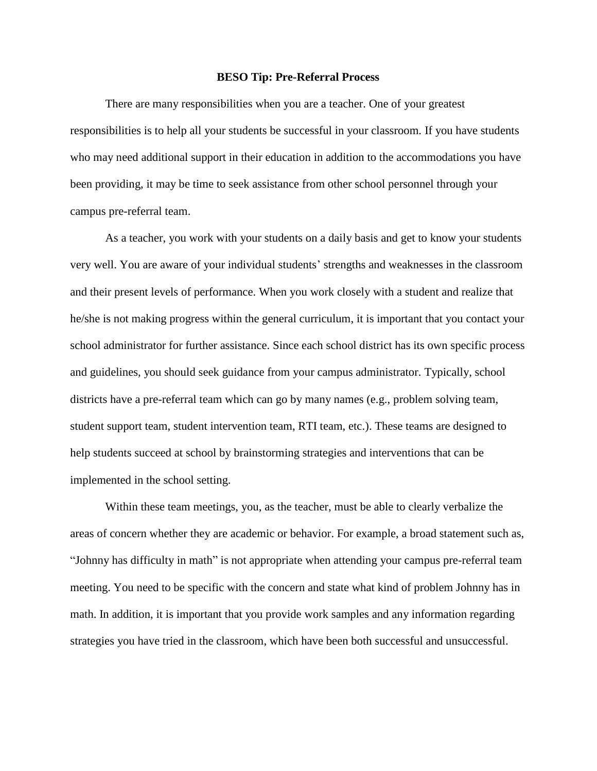## **BESO Tip: Pre-Referral Process**

There are many responsibilities when you are a teacher. One of your greatest responsibilities is to help all your students be successful in your classroom. If you have students who may need additional support in their education in addition to the accommodations you have been providing, it may be time to seek assistance from other school personnel through your campus pre-referral team.

As a teacher, you work with your students on a daily basis and get to know your students very well. You are aware of your individual students' strengths and weaknesses in the classroom and their present levels of performance. When you work closely with a student and realize that he/she is not making progress within the general curriculum, it is important that you contact your school administrator for further assistance. Since each school district has its own specific process and guidelines, you should seek guidance from your campus administrator. Typically, school districts have a pre-referral team which can go by many names (e.g., problem solving team, student support team, student intervention team, RTI team, etc.). These teams are designed to help students succeed at school by brainstorming strategies and interventions that can be implemented in the school setting.

Within these team meetings, you, as the teacher, must be able to clearly verbalize the areas of concern whether they are academic or behavior. For example, a broad statement such as, "Johnny has difficulty in math" is not appropriate when attending your campus pre-referral team meeting. You need to be specific with the concern and state what kind of problem Johnny has in math. In addition, it is important that you provide work samples and any information regarding strategies you have tried in the classroom, which have been both successful and unsuccessful.